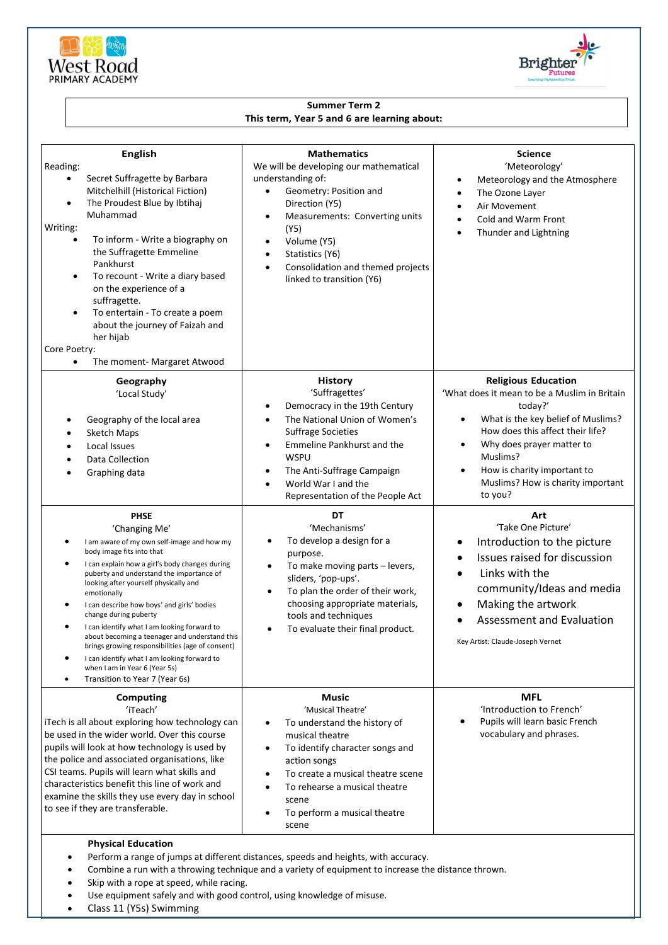



## **Summer Term 2 This term, Year 5 and 6 are learning about:**

| <b>English</b><br>Reading:<br>Secret Suffragette by Barbara<br>$\bullet$<br>Mitchelhill (Historical Fiction)<br>The Proudest Blue by Ibtihaj<br>$\bullet$<br>Muhammad<br>Writing:<br>To inform - Write a biography on<br>the Suffragette Emmeline<br>Pankhurst<br>To recount - Write a diary based<br>$\bullet$<br>on the experience of a<br>suffragette.<br>To entertain - To create a poem<br>$\bullet$<br>about the journey of Faizah and<br>her hijab<br>Core Poetry:<br>The moment- Margaret Atwood<br>$\bullet$                                                                                                             | <b>Mathematics</b><br>We will be developing our mathematical<br>understanding of:<br>Geometry: Position and<br>$\bullet$<br>Direction (Y5)<br>Measurements: Converting units<br>$\bullet$<br>(Y5)<br>Volume (Y5)<br>$\bullet$<br>Statistics (Y6)<br>$\bullet$<br>Consolidation and themed projects<br>$\bullet$<br>linked to transition (Y6) | <b>Science</b><br>'Meteorology'<br>Meteorology and the Atmosphere<br>The Ozone Layer<br>Air Movement<br>$\bullet$<br>Cold and Warm Front<br>Thunder and Lightning<br>$\bullet$                                                                                                                                                 |
|-----------------------------------------------------------------------------------------------------------------------------------------------------------------------------------------------------------------------------------------------------------------------------------------------------------------------------------------------------------------------------------------------------------------------------------------------------------------------------------------------------------------------------------------------------------------------------------------------------------------------------------|----------------------------------------------------------------------------------------------------------------------------------------------------------------------------------------------------------------------------------------------------------------------------------------------------------------------------------------------|--------------------------------------------------------------------------------------------------------------------------------------------------------------------------------------------------------------------------------------------------------------------------------------------------------------------------------|
| Geography<br>'Local Study'<br>Geography of the local area<br>Sketch Maps<br>Local Issues<br><b>Data Collection</b><br>Graphing data                                                                                                                                                                                                                                                                                                                                                                                                                                                                                               | <b>History</b><br>'Suffragettes'<br>Democracy in the 19th Century<br>٠<br>The National Union of Women's<br>$\bullet$<br><b>Suffrage Societies</b><br>Emmeline Pankhurst and the<br>$\bullet$<br><b>WSPU</b><br>The Anti-Suffrage Campaign<br>$\bullet$<br>World War I and the<br>Representation of the People Act                            | <b>Religious Education</b><br>'What does it mean to be a Muslim in Britain<br>today?'<br>What is the key belief of Muslims?<br>$\bullet$<br>How does this affect their life?<br>Why does prayer matter to<br>$\bullet$<br>Muslims?<br>How is charity important to<br>$\bullet$<br>Muslims? How is charity important<br>to you? |
| <b>PHSE</b><br>'Changing Me'<br>I am aware of my own self-image and how my<br>body image fits into that<br>$\bullet$<br>I can explain how a girl's body changes during<br>puberty and understand the importance of<br>looking after yourself physically and<br>emotionally<br>I can describe how boys' and girls' bodies<br>٠<br>change during puberty<br>I can identify what I am looking forward to<br>about becoming a teenager and understand this<br>brings growing responsibilities (age of consent)<br>I can identify what I am looking forward to<br>when I am in Year 6 (Year 5s)<br>Transition to Year 7 (Year 6s)<br>٠ | DT<br>'Mechanisms'<br>To develop a design for a<br>$\bullet$<br>purpose.<br>To make moving parts - levers,<br>$\bullet$<br>sliders, 'pop-ups'.<br>To plan the order of their work,<br>$\bullet$<br>choosing appropriate materials,<br>tools and techniques<br>To evaluate their final product.                                               | Art<br>'Take One Picture'<br>Introduction to the picture<br>٠<br>Issues raised for discussion<br>Links with the<br>community/Ideas and media<br>Making the artwork<br><b>Assessment and Evaluation</b><br>Key Artist: Claude-Joseph Vernet                                                                                     |
| <b>Computing</b><br>'iTeach'<br>iTech is all about exploring how technology can<br>be used in the wider world. Over this course<br>pupils will look at how technology is used by<br>the police and associated organisations, like<br>CSI teams. Pupils will learn what skills and<br>characteristics benefit this line of work and<br>examine the skills they use every day in school<br>to see if they are transferable.<br><b>Physical Education</b>                                                                                                                                                                            | <b>Music</b><br>'Musical Theatre'<br>To understand the history of<br>musical theatre<br>To identify character songs and<br>$\bullet$<br>action songs<br>To create a musical theatre scene<br>To rehearse a musical theatre<br>scene<br>To perform a musical theatre<br>scene                                                                 | <b>MFL</b><br>'Introduction to French'<br>Pupils will learn basic French<br>vocabulary and phrases.                                                                                                                                                                                                                            |
| Perform a range of jumps at different distances, speeds and heights, with accuracy.                                                                                                                                                                                                                                                                                                                                                                                                                                                                                                                                               |                                                                                                                                                                                                                                                                                                                                              |                                                                                                                                                                                                                                                                                                                                |

- Combine a run with a throwing technique and a variety of equipment to increase the distance thrown.
- Skip with a rope at speed, while racing.
- Use equipment safely and with good control, using knowledge of misuse.
- Class 11 (Y5s) Swimming